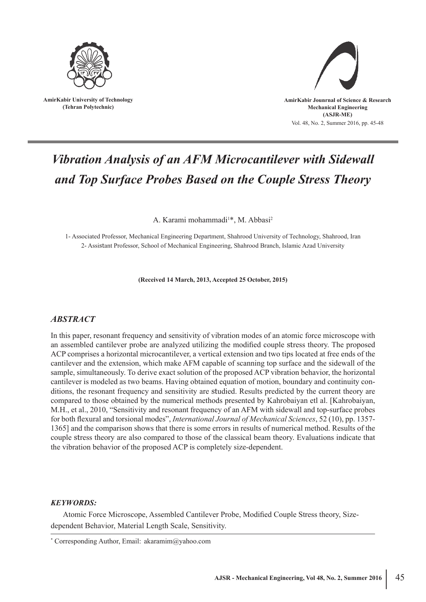

**AmirKabir University of Technology (Tehran Polytechnic)**



# *Vibration Analysis of an AFM Microcantilever with Sidewall and Top Surface Probes Based on the Couple Stress Theory*

A. Karami mohammadi<sup>1\*</sup>, M. Abbasi<sup>2</sup>

1- Associated Professor, Mechanical Engineering Department, Shahrood University of Technology, Shahrood, Iran 2- Assistant Professor, School of Mechanical Engineering, Shahrood Branch, Islamic Azad University

**(Received 14 March, 2013, Accepted 25 October, 2015)**

# *ABSTRACT*

In this paper, resonant frequency and sensitivity of vibration modes of an atomic force microscope with an assembled cantilever probe are analyzed utilizing the modified couple stress theory. The proposed ACP comprises a horizontal microcantilever, a vertical extension and two tips located at free ends of the cantilever and the extension, which make AFM capable of scanning top surface and the sidewall of the sample, simultaneously. To derive exact solution of the proposed ACP vibration behavior, the horizontal cantilever is modeled as two beams. Having obtained equation of motion, boundary and continuity conditions, the resonant frequency and sensitivity are studied. Results predicted by the current theory are compared to those obtained by the numerical methods presented by Kahrobaiyan etl al. [Kahrobaiyan, M.H., et al., 2010, "Sensitivity and resonant frequency of an AFM with sidewall and top-surface probes for both flexural and torsional modes", *International Journal of Mechanical Sciences*, 52 (10), pp. 1357- 1365] and the comparison shows that there is some errors in results of numerical method. Results of the couple stress theory are also compared to those of the classical beam theory. Evaluations indicate that the vibration behavior of the proposed ACP is completely size-dependent.

### *KEYWORDS:*

Atomic Force Microscope, Assembled Cantilever Probe, Modified Couple Stress theory, Sizedependent Behavior, Material Length Scale, Sensitivity.

<sup>\*</sup> Corresponding Author, Email: akaramim@yahoo.com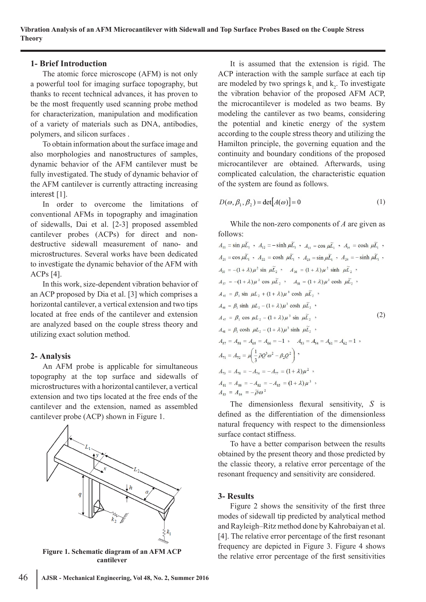# **1- Brief Introduction**

The atomic force microscope (AFM) is not only a powerful tool for imaging surface topography, but thanks to recent technical advances, it has proven to be the most frequently used scanning probe method for characterization, manipulation and modification of a variety of materials such as DNA, antibodies, polymers, and silicon surfaces .

To obtain information about the surface image and also morphologies and nanostructures of samples, dynamic behavior of the AFM cantilever must be fully investigated. The study of dynamic behavior of the AFM cantilever is currently attracting increasing interest [1].

In order to overcome the limitations of conventional AFMs in topography and imagination of sidewalls, Dai et al. [2-3] proposed assembled cantilever probes (ACPs) for direct and nondestructive sidewall measurement of nano- and microstructures. Several works have been dedicated to investigate the dynamic behavior of the AFM with ACPs [4].

In this work, size-dependent vibration behavior of an ACP proposed by Dia et al. [3] which comprises a horizontal cantilever, a vertical extension and two tips located at free ends of the cantilever and extension are analyzed based on the couple stress theory and utilizing exact solution method.

# **2- Analysis**

An AFM probe is applicable for simultaneous topography at the top surface and sidewalls of microstructures with a horizontal cantilever, a vertical extension and two tips located at the free ends of the cantilever and the extension, named as assembled cantilever probe (ACP) shown in Figure 1.



**Figure 1. Schematic diagram of an AFM ACP cantilever**

It is assumed that the extension is rigid. The ACP interaction with the sample surface at each tip are modeled by two springs  $k_1$  and  $k_2$ . To investigate the vibration behavior of the proposed AFM ACP, the microcantilever is modeled as two beams. By modeling the cantilever as two beams, considering the potential and kinetic energy of the system according to the couple stress theory and utilizing the Hamilton principle, the governing equation and the continuity and boundary conditions of the proposed microcantilever are obtained. Afterwards, using complicated calculation, the characteristic equation of the system are found as follows.

$$
D(\omega, \beta_1, \beta_2) = \det[A(\omega)] = 0 \tag{1}
$$

While the non-zero components of *A* are given as follows:

$$
A_{11} = \sin \mu \widetilde{L}_1, A_{12} = -\sinh \mu \widetilde{L}_1, A_{13} = \cos \mu \widetilde{L}_1, A_{14} = \cosh \mu \widetilde{L}_1,
$$
  
\n
$$
A_{21} = \cos \mu \widetilde{L}_1, A_{22} = \cosh \mu \widetilde{L}_1, A_{23} = \sin \mu \widetilde{L}_1, A_{24} = -\sinh \mu \widetilde{L}_1,
$$
  
\n
$$
A_{35} = -(1 + \lambda)\mu^2 \sin \mu \widetilde{L}_2, A_{36} = (1 + \lambda)\mu^2 \sinh \mu \widetilde{L}_2,
$$
  
\n
$$
A_{37} = -(1 + \lambda)\mu^2 \cos \mu \widetilde{L}_2, A_{38} = (1 + \lambda)\mu^2 \cosh \mu \widetilde{L}_2,
$$
  
\n
$$
A_{45} = \beta_1 \sin \mu L_2 + (1 + \lambda)\mu^3 \cosh \mu \widetilde{L}_2,
$$
  
\n
$$
A_{46} = \beta_1 \sinh \mu L_2 - (1 + \lambda)\mu^3 \sinh \mu \widetilde{L}_2,
$$
  
\n
$$
A_{47} = \beta_1 \cos \mu L_2 - (1 + \lambda)\mu^3 \sinh \mu \widetilde{L}_2,
$$
  
\n
$$
A_{48} = \beta_1 \cosh \mu L_2 - (1 + \lambda)\mu^3 \sinh \mu \widetilde{L}_2,
$$
  
\n
$$
A_{57} = A_{58} = A_{65} = A_{66} = -1, A_{53} = A_{54} = A_{61} = A_{62} = 1,
$$
  
\n
$$
A_{71} = A_{72} = \mu \left( \frac{1}{3} \widetilde{\rho} Q^3 \omega^2 - \beta_2 Q^2 \right),
$$
  
\n
$$
A_{73} = A_{78} = -A_{74} = -A_{77} = (1 + \lambda)\mu^2,
$$
  
\n
$$
A_{81} = A_{86} = -A_{82} = -A_{85} = (1 + \lambda)\mu^3,
$$
  
\n
$$
A_{83} = A_{84} = -
$$

The dimensionless flexural sensitivity, *S* is defined as the differentiation of the dimensionless natural frequency with respect to the dimensionless surface contact stiffness.

To have a better comparison between the results obtained by the present theory and those predicted by the classic theory, a relative error percentage of the resonant frequency and sensitivity are considered.

#### **3- Results**

Figure 2 shows the sensitivity of the first three modes of sidewall tip predicted by analytical method and Rayleigh–Ritz method done by Kahrobaiyan et al. [4]. The relative error percentage of the first resonant frequency are depicted in Figure 3. Figure 4 shows the relative error percentage of the first sensitivities